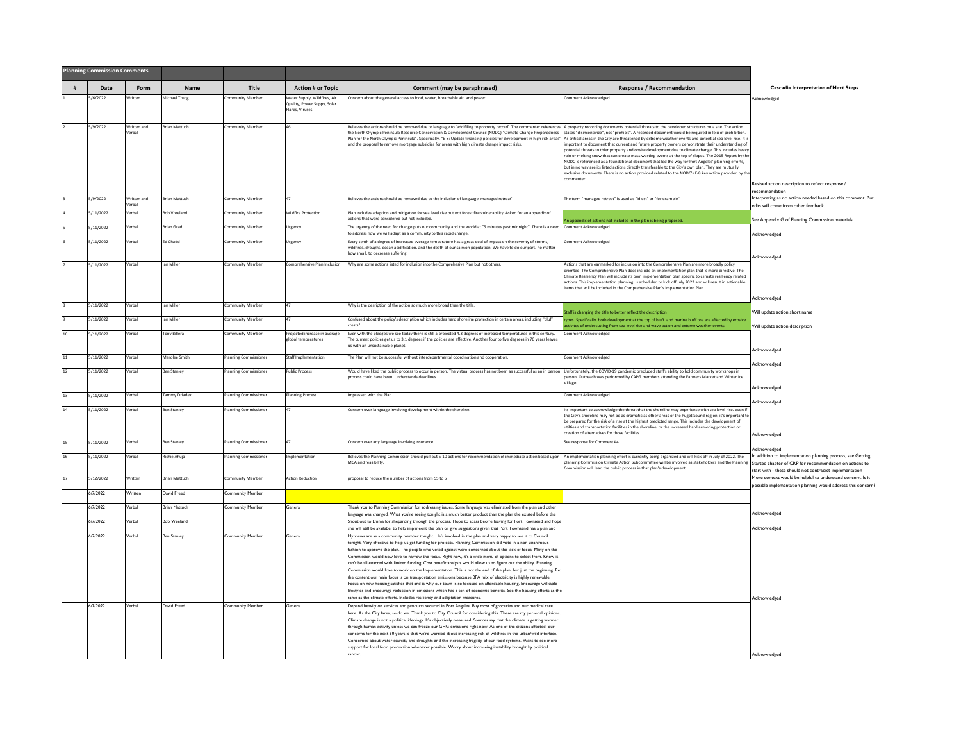|    | <b>Planning Commission Comments</b> |                      |                      |                              |                                                                                |                                                                                                                                                                                                                                                                                                                                                                                                                                                                                                                                                                                                                                                                                                                                                                                                                                                                                                                                                                                                                                                                                                                                                |                                                                                                                                                                                                                                                                                                                                                                                                                                                                                                                                                                                                                                                                                                                                                               |                                                                                                                                                                                                   |
|----|-------------------------------------|----------------------|----------------------|------------------------------|--------------------------------------------------------------------------------|------------------------------------------------------------------------------------------------------------------------------------------------------------------------------------------------------------------------------------------------------------------------------------------------------------------------------------------------------------------------------------------------------------------------------------------------------------------------------------------------------------------------------------------------------------------------------------------------------------------------------------------------------------------------------------------------------------------------------------------------------------------------------------------------------------------------------------------------------------------------------------------------------------------------------------------------------------------------------------------------------------------------------------------------------------------------------------------------------------------------------------------------|---------------------------------------------------------------------------------------------------------------------------------------------------------------------------------------------------------------------------------------------------------------------------------------------------------------------------------------------------------------------------------------------------------------------------------------------------------------------------------------------------------------------------------------------------------------------------------------------------------------------------------------------------------------------------------------------------------------------------------------------------------------|---------------------------------------------------------------------------------------------------------------------------------------------------------------------------------------------------|
| #  | Date                                | Form                 | Name                 | Title                        | <b>Action # or Topic</b>                                                       | Comment (may be paraphrased)                                                                                                                                                                                                                                                                                                                                                                                                                                                                                                                                                                                                                                                                                                                                                                                                                                                                                                                                                                                                                                                                                                                   | <b>Response / Recommendation</b>                                                                                                                                                                                                                                                                                                                                                                                                                                                                                                                                                                                                                                                                                                                              | <b>Cascadia Interpretation of Next Steps</b>                                                                                                                                                      |
|    | 5/6/2022                            | /ritter              | Michael Truog        | ommunity Member              | Water Supply, Wildfires, Air<br>Quality, Power Suppy, Solar<br>Flares, Viruses | Concern about the general access to food, water, breathable air, and power.                                                                                                                                                                                                                                                                                                                                                                                                                                                                                                                                                                                                                                                                                                                                                                                                                                                                                                                                                                                                                                                                    | omment Acknowledged                                                                                                                                                                                                                                                                                                                                                                                                                                                                                                                                                                                                                                                                                                                                           | Acknowledged                                                                                                                                                                                      |
|    | 5/9/2022                            | Written and<br>erbal | <b>Brian Mattuch</b> | Community Member             |                                                                                | Believes the actions should be removed due to language to 'add filing to property record'. The commenter references A property recording documents potential threats to the developed structures on a site. The action<br>the North Olympic Peninsula Resource Conservation & Development Council (NODC) "Climate Change Preparedness<br>Plan for the North Olympic Peninsula". Specifically, "E-8: Update financing policies for development in high risk areas" As critical areas in the City are threatened by extreme weather events and potential sea level rise,<br>and the proposal to remove mortgage subsidies for areas with high climate change impact risks.                                                                                                                                                                                                                                                                                                                                                                                                                                                                       | states "disincentivize", not "prohibit". A recorded document would be required in leiu of prohibition.<br>important to document that current and future property owners demonstrate their understanding of<br>potential threats to thier property and onsite development due to climate change. This includes heavy<br>rain or melting snow that can create mass wasting events at the top of slopes. The 2015 Report by th<br>NODC is referenced as a foundational document that led the way for Port Angeles' planning efforts.<br>but in no way are its listed actions directly transferable to the City's own plan. They are mutually<br>exclusive documents. There is no action provided related to the NODC's E-8 key action provided by th<br>ommenter | Revised action description to reflect response /                                                                                                                                                  |
|    | 5/9/2022                            | Written and          | <b>Brian Mattuch</b> | ommunity Member              |                                                                                | Believes the actions should be removed due to the inclusion of language 'managed retreat                                                                                                                                                                                                                                                                                                                                                                                                                                                                                                                                                                                                                                                                                                                                                                                                                                                                                                                                                                                                                                                       | The term "managed retreat" is used as "id est" or "for example".                                                                                                                                                                                                                                                                                                                                                                                                                                                                                                                                                                                                                                                                                              | recommendation<br>nterpreting as no action needed based on this comment. But                                                                                                                      |
|    | 5/11/2022                           | erbal<br>/erbal      | Bob Vreeland         | <b>Community Member</b>      | Wildfire Protection                                                            | Plan includes adaption and mitigation for sea level rise but not forest fire vulnerability. Asked for an appendix of                                                                                                                                                                                                                                                                                                                                                                                                                                                                                                                                                                                                                                                                                                                                                                                                                                                                                                                                                                                                                           |                                                                                                                                                                                                                                                                                                                                                                                                                                                                                                                                                                                                                                                                                                                                                               | edits will come from other feedback.                                                                                                                                                              |
|    | 5/11/2022                           | Verhal               | <b>Brian Grad</b>    | Community Member             | Urgency                                                                        | actions that were considered but not included.<br>The urgency of the need for change puts our community and the world at "5 minutes past midnight". There is a need Comment Acknowledged                                                                                                                                                                                                                                                                                                                                                                                                                                                                                                                                                                                                                                                                                                                                                                                                                                                                                                                                                       | n appendix of actions not included in the plan is being proposed.                                                                                                                                                                                                                                                                                                                                                                                                                                                                                                                                                                                                                                                                                             | See Appendix G of Planning Commission materials.                                                                                                                                                  |
|    | 5/11/2022                           | Verbal               | <b>Ed Chadd</b>      | <b>Community Member</b>      | Urgency                                                                        | to address how we will adapt as a community to this rapid change.<br>Every tenth of a degree of increased average temperature has a great deal of impact on the severity of storms,                                                                                                                                                                                                                                                                                                                                                                                                                                                                                                                                                                                                                                                                                                                                                                                                                                                                                                                                                            | Comment Acknowledged                                                                                                                                                                                                                                                                                                                                                                                                                                                                                                                                                                                                                                                                                                                                          | Acknowledged                                                                                                                                                                                      |
|    |                                     |                      |                      |                              |                                                                                | wildfires, drought, ocean acidification, and the death of our salmon population. We have to do our part, no matter<br>how small, to decrease suffering.                                                                                                                                                                                                                                                                                                                                                                                                                                                                                                                                                                                                                                                                                                                                                                                                                                                                                                                                                                                        |                                                                                                                                                                                                                                                                                                                                                                                                                                                                                                                                                                                                                                                                                                                                                               | Acknowledged                                                                                                                                                                                      |
|    | 5/11/2022                           | /erbal               | lan Miller           | <b>Community Member</b>      | comprehensive Plan Inclusion                                                   | Why are some actions listed for inclusion into the Comprehesive Plan but not others.                                                                                                                                                                                                                                                                                                                                                                                                                                                                                                                                                                                                                                                                                                                                                                                                                                                                                                                                                                                                                                                           | Actions that are earmarked for inclusion into the Comprehensive Plan are more broadly policy<br>oriented. The Comprehensive Plan does include an implementation plan that is more directive. The<br>Climate Resiliency Plan will include its own implementation plan specific to climate resiliency related<br>actions. This implementation planning is scheduled to kick off July 2022 and will result in actionable<br>ems that will be included in the Comprehensive Plan's Implementation Plan.                                                                                                                                                                                                                                                           |                                                                                                                                                                                                   |
|    | 5/11/2022                           | Verbal               | <b>Jan Miller</b>    | Community Member             |                                                                                | Why is the desription of the action so much more broad than the title.                                                                                                                                                                                                                                                                                                                                                                                                                                                                                                                                                                                                                                                                                                                                                                                                                                                                                                                                                                                                                                                                         |                                                                                                                                                                                                                                                                                                                                                                                                                                                                                                                                                                                                                                                                                                                                                               | Acknowledged                                                                                                                                                                                      |
|    | 5/11/2022                           | erbal                | lan Miller           | ommunity Member              |                                                                                | Confused about the policy's description which includes hard shoreline protection in certain areas, including "bluff<br>crests"                                                                                                                                                                                                                                                                                                                                                                                                                                                                                                                                                                                                                                                                                                                                                                                                                                                                                                                                                                                                                 | taff is changing the title to better reflect the description<br>types. Specifically, both development at the top of bluff and marine bluff toe are affected by erosive                                                                                                                                                                                                                                                                                                                                                                                                                                                                                                                                                                                        | Will update action short name                                                                                                                                                                     |
| 10 | 5/11/2022                           | Verbal               | <b>Tony Billera</b>  | <b>Community Member</b>      | Projected increase in average<br>obal temperatures                             | Even with the pledges we see today there is still a projected 4.3 degrees of increased temperatures in this century.<br>The current policies get us to 3.1 degrees if the policies are effective. Another four to five degrees in 70 years leaves<br>us with an unsustainable planet.                                                                                                                                                                                                                                                                                                                                                                                                                                                                                                                                                                                                                                                                                                                                                                                                                                                          | tivites of undercutting from sea level rise and wave action and exteme weather events.<br>Comment Acknowledged                                                                                                                                                                                                                                                                                                                                                                                                                                                                                                                                                                                                                                                | Will update action description<br>Acknowledged                                                                                                                                                    |
| 11 | 5/11/2022                           | Verbal               | Marolee Smith        | Planning Commissioner        | Staff Implementation                                                           | The Plan will not be successful without interdepartmental coordination and cooperation.                                                                                                                                                                                                                                                                                                                                                                                                                                                                                                                                                                                                                                                                                                                                                                                                                                                                                                                                                                                                                                                        | Comment Acknowledged                                                                                                                                                                                                                                                                                                                                                                                                                                                                                                                                                                                                                                                                                                                                          |                                                                                                                                                                                                   |
| 12 | 5/11/2022                           | /erbal               | Ben Stanley          | lanning Commissioner         | Public Process                                                                 | Would have liked the public process to occur in person. The virtual process has not been as successful as an in person Unfortunately, the COVID-19 pandemic precluded staff's ability to hold community workshops in<br>process could have been. Understands deadlines                                                                                                                                                                                                                                                                                                                                                                                                                                                                                                                                                                                                                                                                                                                                                                                                                                                                         | person. Outreach was performed by CAPG members attending the Farmers Market and Winter Ice<br>fillage.                                                                                                                                                                                                                                                                                                                                                                                                                                                                                                                                                                                                                                                        | Acknowledged                                                                                                                                                                                      |
| 13 | 5/11/2022                           | /erbal               | ammy Dziadek         | lanning Commissioner         | lanning Process                                                                | Impressed with the Plan                                                                                                                                                                                                                                                                                                                                                                                                                                                                                                                                                                                                                                                                                                                                                                                                                                                                                                                                                                                                                                                                                                                        | Comment Acknowledged                                                                                                                                                                                                                                                                                                                                                                                                                                                                                                                                                                                                                                                                                                                                          | Acknowledged                                                                                                                                                                                      |
| 14 | 5/11/2022                           | Verhal               | <b>Ben Stanley</b>   | Planning Commissioner        |                                                                                | Concern over language involving development within the shoreline.                                                                                                                                                                                                                                                                                                                                                                                                                                                                                                                                                                                                                                                                                                                                                                                                                                                                                                                                                                                                                                                                              | Its important to acknowledge the threat that the shoreline may experience with sea level rise, even if<br>the City's shoreline may not be as dramatic as other areas of the Puget Sound region, it's important to<br>be prepared for the risk of a rise at the highest predicted range. This includes the development of<br>utilties and transportation facilities in the shoreline, or the increased hard armoring protection or<br>creation of alternatives for those facilities.                                                                                                                                                                                                                                                                           | <b>Acknowledged</b>                                                                                                                                                                               |
| 15 | 5/11/2022                           | Verbal               | <b>Ben Stanley</b>   | <b>Planning Commissioner</b> |                                                                                | Concern over any language involving insurance                                                                                                                                                                                                                                                                                                                                                                                                                                                                                                                                                                                                                                                                                                                                                                                                                                                                                                                                                                                                                                                                                                  | See response for Comment #4.                                                                                                                                                                                                                                                                                                                                                                                                                                                                                                                                                                                                                                                                                                                                  | Acknowledged                                                                                                                                                                                      |
| 16 | 5/11/2022                           | Verbal               | Richie Ahuja         | Planning Commissioner        | Implementation                                                                 | Believes the Planning Commission should pull out 5-10 actions for recommendation of immediate action based upon An implementation planning effort is currently being organized and will kick-off in July of 2022. The<br>MCA and feasibility                                                                                                                                                                                                                                                                                                                                                                                                                                                                                                                                                                                                                                                                                                                                                                                                                                                                                                   | planning Commission Climate Action Subcommittee will be involved as stakeholders and the Planning<br>imission will lead the public process in that plan's development                                                                                                                                                                                                                                                                                                                                                                                                                                                                                                                                                                                         | Acknowledged<br>In addition to implementation planning process, see Getting<br>Started chapter of CRP for recommendation on actions to<br>start with - these should not contradict implementation |
|    | 5/12/2022                           | Vritter              | <b>Brian Mattuch</b> | ommunity Member              | <b>Action Reduction</b>                                                        | proposal to reduce the number of actions from 55 to 5                                                                                                                                                                                                                                                                                                                                                                                                                                                                                                                                                                                                                                                                                                                                                                                                                                                                                                                                                                                                                                                                                          |                                                                                                                                                                                                                                                                                                                                                                                                                                                                                                                                                                                                                                                                                                                                                               | More context would be helpful to understand concern. Is it<br>ossible implementation planning would address this concern?                                                                         |
|    | 6/7/2022                            | Written              | David Freed          | <b>Community Member</b>      |                                                                                |                                                                                                                                                                                                                                                                                                                                                                                                                                                                                                                                                                                                                                                                                                                                                                                                                                                                                                                                                                                                                                                                                                                                                |                                                                                                                                                                                                                                                                                                                                                                                                                                                                                                                                                                                                                                                                                                                                                               |                                                                                                                                                                                                   |
|    | 6/7/2022                            | Verbal               | <b>Brian Mattuch</b> | <b>Community Member</b>      | General                                                                        | Thank you to Planning Commission for addressing issues. Some language was eliminated from the plan and other<br>language was changed. What you're seeing tonight is a much better product than the plan the existed before the                                                                                                                                                                                                                                                                                                                                                                                                                                                                                                                                                                                                                                                                                                                                                                                                                                                                                                                 |                                                                                                                                                                                                                                                                                                                                                                                                                                                                                                                                                                                                                                                                                                                                                               | Acknowledged                                                                                                                                                                                      |
|    | 6/7/2022                            | /erbal               | <b>Bob Vreeland</b>  |                              |                                                                                | Shout out to Emma for sheparding through the process. Hope to apass beofre leaving for Port Townsend and hope<br>she will still be availabel to help implmeent the plan or give suggestions given that Port Townsend has a plan and                                                                                                                                                                                                                                                                                                                                                                                                                                                                                                                                                                                                                                                                                                                                                                                                                                                                                                            |                                                                                                                                                                                                                                                                                                                                                                                                                                                                                                                                                                                                                                                                                                                                                               | Acknowledged                                                                                                                                                                                      |
|    | 6/7/2022                            | Verbal               | <b>Ben Stanley</b>   | <b>Community Member</b>      | General                                                                        | My views are as a community member tonight. He's involved in the plan and very happy to see it to Council<br>tonight. Very effective to help us get funding for projects. Planning Commission did vote in a non unanimous<br>fashion to approve the plan. The people who voted against were concerned about the lack of focus. Many on the<br>Commission would now love to narrow the focus. Right now, it's a wide menu of options to select from. Know it<br>can't be all enacted with limited funding. Cost benefit analysis would allow us to figure out the ability. Planning<br>Commission would love to work on the Implementation. This is not the end of the plan, but just the beginning. Re<br>the content our main focus is on transportation emissions because BPA mix of electricity is highly renewable<br>Focus on new housing satisfies that and is why our town is so focused on affordable housing. Encourage walkable<br>lifestyles and encourage reduction in emissions which has a ton of economic benefits. See the housing efforts as the<br>same as the climate efforts. Includes resiliency and adaptation measures. |                                                                                                                                                                                                                                                                                                                                                                                                                                                                                                                                                                                                                                                                                                                                                               | Acknowledged                                                                                                                                                                                      |
|    | 6/7/2022                            | Verbal               | David Freed          | Community Member             | General                                                                        | Depend heavily on services and products secured in Port Angeles. Buy most of groceries and our medical care<br>here. As the City fares, so do we. Thank you to City Council for considering this. These are my personal opinions.<br>Climate change is not a political ideology. It's objectively measured. Sources say that the climate is getting warmer<br>through human activity unless we can freeze our GHG emissions right now. As one of the citizens affected, our<br>concerns for the next 50 years is that we're worried about increasing risk of wildfires in the urban/wild interface.<br>Concerned about water scarcity and droughts and the increasing fragility of our food systems. Want to see more<br>support for local food production whenever possible. Worry about incraseing instability brought by political<br>rancor.                                                                                                                                                                                                                                                                                               |                                                                                                                                                                                                                                                                                                                                                                                                                                                                                                                                                                                                                                                                                                                                                               | Acknowledged                                                                                                                                                                                      |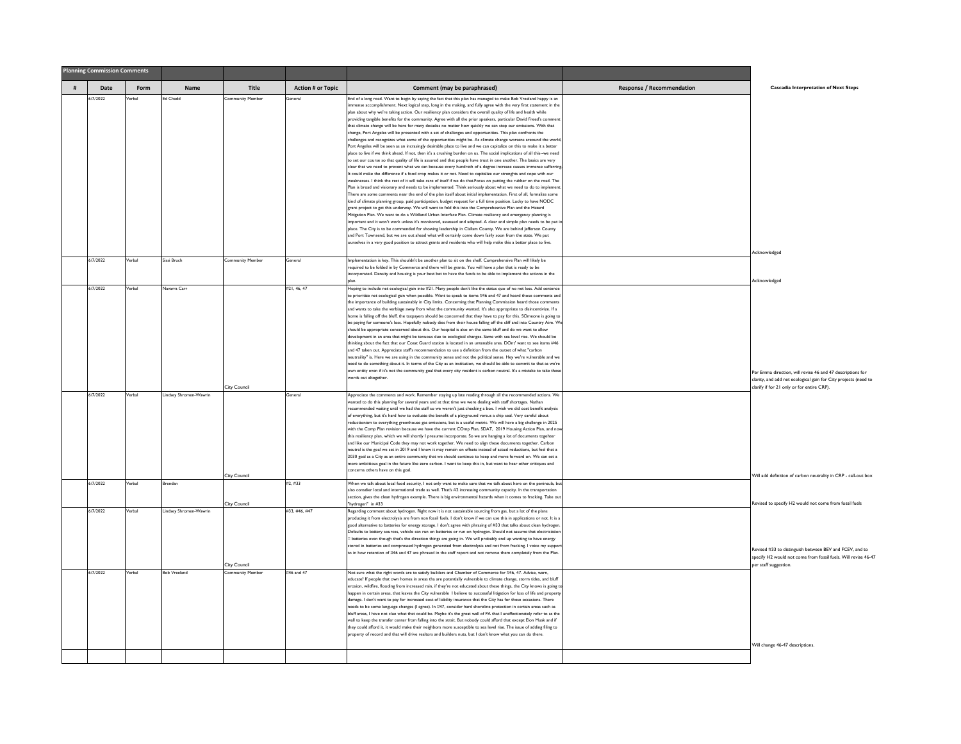|   | <b>Planning Commission Comments</b> |        |                        |                                     |                          |                                                                                                                                                                                                                                                                                                                                                                                                                                                                                                                                                                                                                                                                                                                                                                                                                                                                                                                                                                                                                                                                                                                                                                                                                                                                                                                                                                                                                                                                                                                                                                                                                                                                                                                                                                                                                                                                                                                                                                                                                                                                                                                                                                                                                                                                                                                                                                                                                                                                                                                                                                                                                                         |                                  |                                                                                                                                                                             |
|---|-------------------------------------|--------|------------------------|-------------------------------------|--------------------------|-----------------------------------------------------------------------------------------------------------------------------------------------------------------------------------------------------------------------------------------------------------------------------------------------------------------------------------------------------------------------------------------------------------------------------------------------------------------------------------------------------------------------------------------------------------------------------------------------------------------------------------------------------------------------------------------------------------------------------------------------------------------------------------------------------------------------------------------------------------------------------------------------------------------------------------------------------------------------------------------------------------------------------------------------------------------------------------------------------------------------------------------------------------------------------------------------------------------------------------------------------------------------------------------------------------------------------------------------------------------------------------------------------------------------------------------------------------------------------------------------------------------------------------------------------------------------------------------------------------------------------------------------------------------------------------------------------------------------------------------------------------------------------------------------------------------------------------------------------------------------------------------------------------------------------------------------------------------------------------------------------------------------------------------------------------------------------------------------------------------------------------------------------------------------------------------------------------------------------------------------------------------------------------------------------------------------------------------------------------------------------------------------------------------------------------------------------------------------------------------------------------------------------------------------------------------------------------------------------------------------------------------|----------------------------------|-----------------------------------------------------------------------------------------------------------------------------------------------------------------------------|
| # | Date                                | Form   | <b>Name</b>            | Title                               | <b>Action # or Topic</b> | Comment (may be paraphrased)                                                                                                                                                                                                                                                                                                                                                                                                                                                                                                                                                                                                                                                                                                                                                                                                                                                                                                                                                                                                                                                                                                                                                                                                                                                                                                                                                                                                                                                                                                                                                                                                                                                                                                                                                                                                                                                                                                                                                                                                                                                                                                                                                                                                                                                                                                                                                                                                                                                                                                                                                                                                            | <b>Response / Recommendation</b> | <b>Cascadia Interpretation of Next Steps</b>                                                                                                                                |
|   | 6/7/2022                            | /erbal | Ed Chadd               | Community Member                    | General                  | End of a long road. Want to begin by saying the fact that this plan has managed to make Bob Vreeland happy is an<br>mense accomplishment. Next logical step, long in the making, and fully agree with the very first statement in the<br>plan about why we're taking action. Our resiliency plan considers the overall quality of life and health while<br>providing tangible benefits for the community. Agree with all the prior speakers, particular David Freed's commer<br>that climate change will be here for many decades no matter how quickly we can stop our emissions. With that<br>change, Port Angeles will be presented with a set of challenges and opportunities. This plan confronts the<br>challenges and recognizes what some of the opportunities might be. As climate change worsens areound the world.<br>Port Angeles will be seen as an incrasingly desirable place to live and we can capitalize on this to make it a better<br>place to live if we think ahead. If not, then it's a crushing burden on us. The social implications of all this--we need<br>to set our course so that quality of life is assured and that people have trust in one another. The basics are very<br>clear that we need to prevent what we can because every hundreth of a degree increase causes immense sufferring<br>It could make the difference if a food crop makes it or not. Need to capitalize our strenghts and cope with our<br>eaknesses. I think the rest of it will take care of itself if we do that Focus on putting the rubber on the road. The<br>Plan is broad and visionary and needs to be implemented. Think seriously about what we need to do to implement.<br>There are some comments near the end of the plan itself about initial implementation. First of all, formalize some<br>kind of climate planning group, paid participation, budget request for a full time position. Lucky to have NODC<br>grant project to get this underway. We will want to fold this into the Comprehesnive Plan and the Hazard<br>Mitigation Plan. We want to do a Wildland Urban Interface Plan. Climate resiliency and emergency planning is<br>important and it won't work unless it's monitored, assessed and adapted. A clear and simple plan needs to be put in<br>place. The City is to be commended for showing leadership in Clallam County. We are behind Jefferson County<br>and Port Townsend, but we are out ahead what will certainly come down fairly soon from the state. We put<br>ourselves in a very good position to attract grants and residents who will help make this a better place to live. |                                  | Acknowledged                                                                                                                                                                |
|   | 6/7/2022                            | Verbal | Sissi Bruch            | <b>Community Member</b>             | General                  | Implementation is key. This shouldn't be another plan to sit on the shelf. Comprehensive Plan will likely be<br>required to be folded in by Commerce and there will be grants. You will have a plan that is ready to be<br>incorporated. Density and housing is your best bet to have the funds to be able to implement the actions in the                                                                                                                                                                                                                                                                                                                                                                                                                                                                                                                                                                                                                                                                                                                                                                                                                                                                                                                                                                                                                                                                                                                                                                                                                                                                                                                                                                                                                                                                                                                                                                                                                                                                                                                                                                                                                                                                                                                                                                                                                                                                                                                                                                                                                                                                                              |                                  |                                                                                                                                                                             |
|   | 6/7/2022                            | Verbal | Navarra Carr           |                                     | #21.46.47                | Hoping to include net ecological gain into #21. Many people don't like the status quo of no net loss. Add sentence<br>to prioritize net ecological gain when possible. Want to speak to items #46 and 47 and heard those comments and<br>the importance of building sustainably in City limits. Concerning that Planning Commission heard those comments<br>and wants to take the verbiage away from what the community wanted. It's also appropriate to disincentivize. If a<br>home is falling off the bluff, the taxpayers should be concerned that they have to pay for this. SOmeone is going to<br>be paying for someone's loss. Hopefully nobody dies from their house falling off the cliff and into Country Aire. We<br>should be appropriate concerned about this. Our hospital is also on the same bluff and do we want to allow<br>velopment in an area that might be tenuous due to ecological changes. Same with sea level rise. We should be<br>thinking about the fact that our Coast Guard station is located in an untenable area. DOnt' want to see items #46<br>and 47 taken out. Appreciate staff's recommendation to use a definition from the outset of what "carbon<br>neutraility" is. Here we are using in the community sense and not the political sense. Hey we're vulnerable and we<br>need to do something about it. In terms of the City as an institution, we should be able to commit to that as we're                                                                                                                                                                                                                                                                                                                                                                                                                                                                                                                                                                                                                                                                                                                                                                                                                                                                                                                                                                                                                                                                                                                                                                                                |                                  | Acknowledged                                                                                                                                                                |
|   |                                     |        |                        | <b>City Council</b>                 |                          | own entity even if it's not the community goal that every city resident is carbon neutral. It's a mistake to take these<br>words out altogether.                                                                                                                                                                                                                                                                                                                                                                                                                                                                                                                                                                                                                                                                                                                                                                                                                                                                                                                                                                                                                                                                                                                                                                                                                                                                                                                                                                                                                                                                                                                                                                                                                                                                                                                                                                                                                                                                                                                                                                                                                                                                                                                                                                                                                                                                                                                                                                                                                                                                                        |                                  | Per Emma direction, will revise 46 and 47 descriptions for<br>clarity, and add net ecological gain for City projects (need to<br>clarify if for 21 only or for entire CRP). |
|   | 6/7/2022                            | /erbal | Lindsey Shromen-Wawrin | <b>City Council</b>                 | General                  | Appreciate the comments and work. Remember staying up late reading through all the recommended actions. We<br>wanted to do this planning for several years and at that time we were dealing with staff shortages. Nathan<br>ecommended waiting until we had the staff so we weren't just checking a box. I wish we did cost benefit analysis<br>of everything, but it's hard how to evaluate the benefit of a playground versus a chip seal. Very careful about<br>eductionism to everything greenhouse gas emissions, but is a useful metric. We will have a big challenge in 2025<br>with the Comp Plan revision because we have the current COmp Plan, SDAT, 2019 Housing Action Plan, and noy<br>this resiliency plan, which we will shortly I presume incorporate. So we are hanging a lot of documents togehter<br>and like our Municipal Code they may not work together. We need to align these documents together. Carbon<br>neutral is the goal we set in 2019 and I know it may remain on offsets instead of actual reductions, but feel that a<br>2030 goal as a City as an entire community that we should continue to keep and move forward on. We can set a<br>more ambiitious goal in the future like zero carbon. I want to keep this in, but want to hear other critiques and<br>concerns others have on this goal.                                                                                                                                                                                                                                                                                                                                                                                                                                                                                                                                                                                                                                                                                                                                                                                                                                                                                                                                                                                                                                                                                                                                                                                                                                                                                                   |                                  | Will add definition of carbon neutrality in CRP - call-out box                                                                                                              |
|   | 6/7/2022                            | Verbal | Brendan                |                                     | #2, #33                  | When we talk about local food security. I not only want to make sure that we talk about here on the peninsula, but<br>also consdier local and international trade as well. That's #2 increasing community capacity. In the transportation<br>section, gives the clean hydrogen example. There is big environmental hazards when it comes to fracking. Take out                                                                                                                                                                                                                                                                                                                                                                                                                                                                                                                                                                                                                                                                                                                                                                                                                                                                                                                                                                                                                                                                                                                                                                                                                                                                                                                                                                                                                                                                                                                                                                                                                                                                                                                                                                                                                                                                                                                                                                                                                                                                                                                                                                                                                                                                          |                                  | Revised to specify H2 would not come from fossil fuels                                                                                                                      |
|   | 6/7/2022                            | Verbal | Lindsey Shromen-Wawrin | <b>City Council</b><br>City Council | #33, #46, #47            | "hydrogen" in #33<br>Regarding comment about hydrogen. Right now it is not sustainable sourcing from gas, but a lot of the plans<br>producing it from electrolysis are from non fossil fuels. I don't know if we can use this in applications or not. It is a<br>good alternative to batteries for energy storage. I don't agree with phrasing of #33 that talks about clean hydrogen.<br>Defaults to battery sources, vehicle can run on batteries or run on hydrogen. Should not assume that electriciation<br>batteries even though that's the direction things are going in. We will probably end up wanting to have energy<br>stored in batteries and compressed hydrogen generated from electrolysis and not from fracking. I voice my support<br>o in how retention of #46 and 47 are phrased in the staff report and not remove them completely from the Plan.                                                                                                                                                                                                                                                                                                                                                                                                                                                                                                                                                                                                                                                                                                                                                                                                                                                                                                                                                                                                                                                                                                                                                                                                                                                                                                                                                                                                                                                                                                                                                                                                                                                                                                                                                                  |                                  | Revised #33 to distinguish between BEV and FCEV, and to<br>specify H2 would not come from fossil fuels. Will revise 46-47<br>per staff suggestion                           |
|   | 6/7/2022                            | Verbal | <b>Bob Vreeland</b>    | <b>Community Member</b>             | #46 and 47               | Not sure what the right words are to satisfy builders and Chamber of Commerce for #46, 47. Advise, warn,<br>educate? If people that own homes in areas tha are potentially vulnerable to climate change, storm tides, and bluff<br>erosion, wildfire, flooding from increased rain, if they're not educated about these things, the City knows is going to<br>happen in certain areas, that leaves the City vulnerable I believe to successful litigation for loss of life and property<br>damage. I don't want to pay for incresaed cost of liability insurance that the City has for these occasions. There<br>needs to be some language changes (I agree). In #47, consider hard shoreline protection in certain areas such as<br>bluff areas, I have not clue what that could be. Maybe it's the great wall of PA that I unaffectionately refer to as the<br>wall to keep the transfer center from falling into the strait. But nobody could afford that except Elon Musk and if<br>they could afford it, it would make their neighbors more susceptible to sea level rise. The issue of adding filing to<br>property of record and that will drive realtors and builders nuts, but I don't know what you can do there.                                                                                                                                                                                                                                                                                                                                                                                                                                                                                                                                                                                                                                                                                                                                                                                                                                                                                                                                                                                                                                                                                                                                                                                                                                                                                                                                                                                                             |                                  | Will change 46-47 descriptions.                                                                                                                                             |
|   |                                     |        |                        |                                     |                          |                                                                                                                                                                                                                                                                                                                                                                                                                                                                                                                                                                                                                                                                                                                                                                                                                                                                                                                                                                                                                                                                                                                                                                                                                                                                                                                                                                                                                                                                                                                                                                                                                                                                                                                                                                                                                                                                                                                                                                                                                                                                                                                                                                                                                                                                                                                                                                                                                                                                                                                                                                                                                                         |                                  |                                                                                                                                                                             |